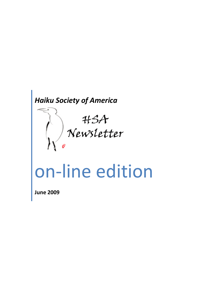# *Haiku Society of America*



**June 2009**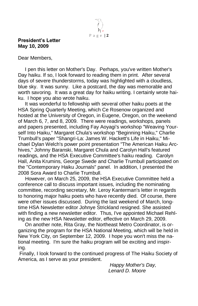

#### **President's Letter May 10, 2009**

Dear Members,

 I pen this letter on Mother's Day. Perhaps, you've written Mother's Day haiku. If so, I look forward to reading them in print. After several days of severe thunderstorms, today was highlighted with a cloudless, blue sky. It was sunny. Like a postcard, the day was memorable and worth savoring. It was a great day for haiku writing. I certainly wrote haiku. I hope you also wrote haiku.

 It was wonderful to fellowship with several other haiku poets at the HSA Spring Quarterly Meeting, which Ce Rosenow organized and hosted at the University of Oregon, in Eugene, Oregon, on the weekend of March 6, 7, and 8, 2009. There were readings, workshops, panels and papers presented, including Fay Aoyagi's workshop "Weaving Yourself Into Haiku," Margaret Chula's workshop "Beginning Haiku," Charlie Trumbull's paper "Shangri-La: James W. Hackett's Life in Haiku," Michael Dylan Welch's power point presentation "The American Haiku Archives," Johnny Baranski, Margaret Chula and Carolyn Hall's featured readings, and the HSA Executive Committee's haiku reading. Carolyn Hall, Anita Krumins, George Swede and Charlie Trumbull participated on the "Contemporary Haiku Journals" panel. In addition, I presented the 2008 Sora Award to Charlie Trumbull.

 However, on March 25, 2009, the HSA Executive Committee held a conference call to discuss important issues, including the nominating committee, recording secretary, Mr. Leroy Kanterman's letter in regards to honoring major haiku poets who have recently died. Of course, there were other issues discussed. During the last weekend of March, longtime HSA Newsletter editor Johnye Strickland resigned. She assisted with finding a new newsletter editor. Thus, I've appointed Michael Rehling as the new HSA Newsletter editor, effective on March 29, 2009.

 On another note, Rita Gray, the Northeast Metro Coordinator, is organizing the program for the HSA National Meeting, which will be held in New York City, on September 12, 2009. I hope you won't miss the national meeting. I'm sure the haiku program will be exciting and inspiring.

Finally, I look forward to the continued progress of The Haiku Society of America, as I serve as your president.

 *Happy Mother's Day, Lenard D. Moore*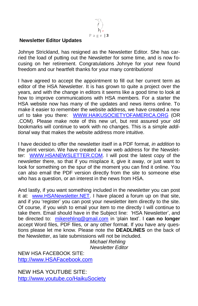

#### **Newsletter Editor Updates**

Johnye Strickland, has resigned as the Newsletter Editor. She has carried the load of putting out the Newsletter for some time, and is now focusing on her retirement. Congratulations Johnye for your new found freedom and our heartfelt thanks for your many contributions!

I have agreed to accept the appointment to fill out her current term as editor of the HSA Newsletter. It is has grown to quite a project over the years, and with the change in editors it seems like a good time to look at how to improve communications with HSA members. For a starter the HSA website now has many of the updates and news items online. To make it easier to remember the website address, we have created a new url to take you there: [WWW.HAIKUSOCIETYOFAMERICA.ORG](http://www.haikusocietyofamerica.org/) (OR .COM). Please make note of this new url, but rest assured your old bookmarks will continue to work with no changes. This is a simple *additional* way that makes the website address more intuitive.

I have decided to offer the newsletter itself in a PDF format, *in addition* to the print version. We have created a new web address for the Newsletter: [WWW.HSANEWSLETTER.COM.](http://www.hsanewsletter.com/) I will post the latest copy of the newsletter there, so that if you misplace it, give it away, or just want to look for something on the spur of the moment you can find it online. You can also email the PDF version directly from the site to someone else who has a question, or an interest in the news from HSA.

And lastly, if you want something included in the newsletter you can post it at: [www.HSANewsletter.NET.](http://www.hsanewsletter.net/) I have placed a forum up on that site, and if you 'register' you can post your newsletter item directly to the site. Of course, if you wish to email your item to me directly I will continue to take them. Email should have in the Subject line: ‗HSA Newsletter', and be directed to: [mikerehling@gmail.com](mailto:mikerehling@gmail.com) in ‗plain text'. I **can no longer** accept Word files, PDF files, or any other format. If you have any questions please let me know. Please note the **DEADLINES** on the back of the Newsletter, as late submissions will not be included.

*Michael Rehling Newsletter Editor*

NEW HSA FACEBOOK SITE: [http://www.HSAFacebook.com](http://www.hsafacebook.com/)

NEW HSA YOUTUBE SITE: <http://www.youtube.co/HaikuSociety>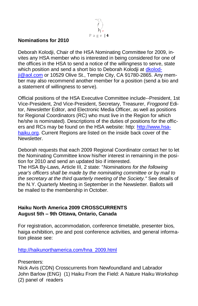P a g e | **4**

#### **Nominations for 2010**

Deborah Kolodji, Chair of the HSA Nominating Committee for 2009, invites any HSA member who is interested in being considered for one of the offices in the HSA to send a notice of the willingness to serve, state which position and send a short bio to Deborah Kolodji at [dkolod](mailto:dkolodji@aol.com)[ji@aol.com](mailto:dkolodji@aol.com) or 10529 Olive St., Temple City, CA 91780-2865. Any member may also recommend another member for a position (send a bio and a statement of willingness to serve).

Official positions of the HSA Executive Committee include--President, 1st Vice-President, 2nd Vice-President, Secretary, Treasurer, *Frogpond* Editor, *Newsletter* Editor, and Electronic Media Officer, as well as positions for Regional Coordinators (RC) who must live in the Region for which he/she is nominated). Descriptions of the duties of positions for the officers and RCs may be found on the HSA website: http: [http://www.hsa](http://www.hsa-haiku.org/)[haiku.org.](http://www.hsa-haiku.org/) Current Regions are listed on the inside back cover of the Newsletter.

Deborah requests that each 2009 Regional Coordinator contact her to let the Nominating Committee know his/her interest in remaining in the position for 2010 and send an updated bio if interested.

The HSA By-Laws, Article III, 2 state: "*Nominations for the following year's officers shall be made by the nominating committee or by mail to the secretary at the third quarterly meeting of the Society."* See details of the N.Y. Quarterly Meeting in September in the Newsletter. Ballots will be mailed to the membership in October.

#### **Haiku North America 2009 CROSSCURRENTS August 5th – 9th Ottawa, Ontario, Canada**

For registration, accommodation, conference timetable, presenter bios, haiga exhibition, pre and post conference activities, and general information please see:

[http://haikunorthamerica.com/hna\\_2009.html](http://haikunorthamerica.com/hna_2009.html)

Presenters:

Nick Avis (CDN) Crosscurrents from Newfoundland and Labrador John Barlow (ENG) (1) Haiku From the Field: A Nature Haiku Workshop (2) panel of readers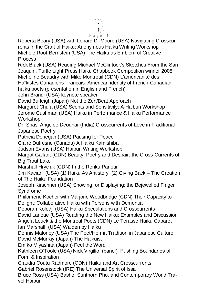# P a g e | **5**

Roberta Beary (USA) with Lenard D. Moore (USA) Navigating Crosscurrents in the Craft of Haiku: Anonymous Haiku Writing Workshop Michele Root-Bernstein (USA) The Haiku as Emblem of Creative Process

Rick Black (USA) Reading Michael McClintock's Sketches From the San Joaquin, Turtle Light Press Haiku Chapbook Competition winner 2008. Micheline Beaudry with Mike Montreuil (CDN) L'américanité des Haïkistes Canadiens-Français: American identity of French-Canadian

haiku poets (presentation in English and French)

John Brandi (USA) keynote speaker

David Burleigh (Japan) Not the Zen/Beat Approach

Margaret Chula (USA) Scents and Sensitivity: A Haibun Workshop Jerome Cushman (USA) Haiku in Performance & Haiku Performance Workshop

Dr. Shasi Angelee Deodhar (India) Crosscurrents of Love in Traditional Japanese Poetry

Patricia Donegan (USA) Pausing for Peace

Claire Dufresne (Canada) A Haiku Kamishibai

Judson Evans (USA) Haibun Writing Workshop

Margot Gallant (CDN) Beauty, Poetry and Despair: the Cross-Currents of Big Trout Lake

Marshall Hryciuk (CDN) In the Renku Parlour

Jim Kacian (USA) (1) Haiku As Antistory (2) Giving Back – The Creation of The Haiku Foundation

Joseph Kirschner (USA) Showing, or Displaying: the Bejewelled Finger Syndrome

Philomene Kocher with Marjorie Woodbridge (CDN) Their Capacity to Delight: Collaborative Haiku with Persons with Dementia

Deborah Kolodji (USA) Haiku Speculations and Crosscurrents David Lanoue (USA) Reading the New Haiku: Examples and Discussion Angela Leuck & the Montreal Poets (CDN) Le Terasse Haiku Cabaret Ian Marshall (USA) Walden by Haiku

Dennis Maloney (USA) The Poet/Hermit Tradition in Japanese Culture David McMurray (Japan) The Haikuist

Emiko Miyashita (Japan) Feel the Word

Kathleen O'Toole (USA) Nick Virgilio (panel) Pushing Boundaries of Form & Inspiration

Claudia Coutu Radmore (CDN) Haiku and Art Crosscurrents

Gabriel Rosenstock (IRE) The Universal Spirit of Issa

Bruce Ross (USA) Basho, Sunthorn Pho, and Contemporary World Travel Haibun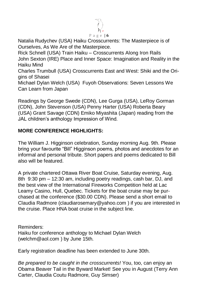

Natalia Rudychev (USA) Haiku Crosscurrents: The Masterpiece is of Ourselves, As We Are of the Masterpiece.

Rick Schnell (USA) Train Haiku – Crosscurrents Along Iron Rails John Sexton (IRE) Place and Inner Space: Imagination and Reality in the Haiku Mind

Charles Trumbull (USA) Crosscurrents East and West: Shiki and the Origins of Shasei

Michael Dylan Welch (USA) Fuyoh Observations: Seven Lessons We Can Learn from Japan

Readings by George Swede (CDN), Lee Gurga (USA), LeRoy Gorman (CDN), John Stevenson (USA) Penny Harter (USA) Roberta Beary (USA) Grant Savage (CDN) Emiko Miyashita (Japan) reading from the JAL children's anthology Impression of Wind.

## **MORE CONFERENCE HIGHLIGHTS:**

The William J. Higginson celebration, Sunday morning Aug. 9th. Please bring your favourite "Bill" Higginson poems, photos and anecdotes for an informal and personal tribute. Short papers and poems dedicated to Bill also will be featured.

A private chartered Ottawa River Boat Cruise, Saturday evening, Aug. 8th 9:30 pm – 12:30 am, including poetry readings, cash bar, DJ, and the best view of the International Fireworks Competition held at Lac Leamy Casino, Hull, Quebec. Tickets for the boat cruise may be purchased at the conference (\$30.00 CDN). Please send a short email to Claudia Radmore (claudiarosemary@yahoo.com ) if you are interested in the cruise. Place HNA boat cruise in the subject line.

Reminders: Haiku for conference anthology to Michael Dylan Welch (welchm@aol.com ) by June 15th.

Early registration deadline has been extended to June 30th.

*Be prepared to be caught in the crosscurrents!* You, too, can enjoy an Obama Beaver Tail in the Byward Market! See you in August (Terry Ann Carter, Claudia Coutu Radmore, Guy Simser)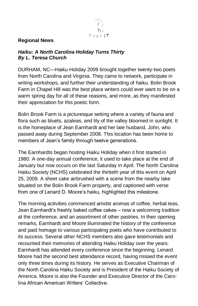

#### **Regional News**

#### *Haiku: A North Carolina Holiday Turns Thirty By L. Teresa Church*

DURHAM, NC—Haiku Holiday 2009 brought together twenty-two poets from North Carolina and Virginia. They came to network, participate in writing workshops, and further their understanding of haiku. Bolin Brook Farm in Chapel Hill was the best place writers could ever want to be on a warm spring day for all of these reasons, and more, as they manifested their appreciation for this poetic form.

Bolin Brook Farm is a picturesque setting where a variety of fauna and flora such as bluets, azaleas, and lily of the valley bloomed in sunlight. It is the homeplace of Jean Earnhardt and her late husband, John, who passed away during September 2008. This location has been home to members of Jean's family through twelve generations.

The Earnhardts began hosting Haiku Holiday when it first started in 1980. A one-day annual conference, it used to take place at the end of January but now occurs on the last Saturday in April. The North Carolina Haiku Society (NCHS) celebrated the thirtieth year of this event on April 25, 2009. A sheet cake airbrushed with a scene from the nearby lake situated on the Bolin Brook Farm property, and captioned with verse from one of Lenard D. Moore's haiku, highlighted this milestone.

The morning activities commenced amidst aromas of coffee, herbal teas, Jean Earnhardt's freshly baked coffee cakes – now a welcoming tradition at the conference, and an assortment of other pastries. In their opening remarks, Earnhardt and Moore illuminated the history of the conference and paid homage to various participating poets who have contributed to its success. Several other NCHS members also gave testimonials and recounted their memories of attending Haiku Holiday over the years. Earnhardt has attended every conference since the beginning. Lenard Moore had the second best attendance record, having missed the event only three times during its history. He serves as Executive Chairman of the North Carolina Haiku Society and is President of the Haiku Society of America. Moore is also the Founder and Executive Director of the Carolina African American Writers' Collective.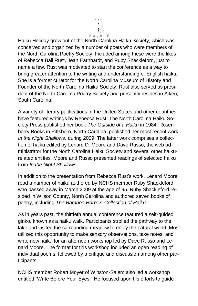

Haiku Holiday grew out of the North Carolina Haiku Society, which was conceived and organized by a number of poets who were members of the North Carolina Poetry Society. Included among these were the likes of Rebecca Ball Rust, Jean Earnhardt, and Ruby Shackleford, just to name a few. Rust was motivated to start the conference as a way to bring greater attention to the writing and understanding of English haiku. She is a former curator for the North Carolina Museum of History and Founder of the North Carolina Haiku Society. Rust also served as president of the North Carolina Poetry Society and presently resides in Aiken, South Carolina.

A variety of literary publications in the United States and other countries have featured writings by Rebecca Rust. The North Carolina Haiku Society Press published her book *The Outside of a Haiku* in 1984. Rosenberry Books in Pittsboro, North Carolina, published her most recent work, *In the Night Shallows*, during 2009. The latter work comprises a collection of haiku edited by Lenard D. Moore and Dave Russo, the web administrator for the North Carolina Haiku Society and several other haikurelated entities. Moore and Russo presented readings of selected haiku from *In the Night Shallows*.

In addition to the presentation from Rebecca Rust's work, Lenard Moore read a number of haiku authored by NCHS member Ruby Shackleford, who passed away in March 2009 at the age of 95. Ruby Shackleford resided in Wilson County, North Carolina and authored seven books of poetry, including *The Bamboo Harp: A Collection of Haiku*.

As in years past, the thirtieth annual conference featured a self-guided ginko, known as a haiku walk. Participants strolled the pathway to the lake and visited the surrounding meadow to enjoy the natural world. Most utilized this opportunity to make sensory observations, take notes, and write new haiku for an afternoon workshop led by Dave Russo and Lenard Moore. The format for this workshop included an open reading of individual poems, followed by a critique and discussion among other participants.

NCHS member Robert Moyer of Winston-Salem also led a workshop entitled "Write Before Your Eyes." He focused upon his efforts to quide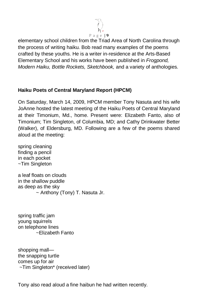

elementary school children from the Triad Area of North Carolina through the process of writing haiku. Bob read many examples of the poems crafted by these youths. He is a writer in-residence at the Arts-Based Elementary School and his works have been published in *Frogpond, Modern Haiku, Bottle Rockets, Sketchbook,* and a variety of anthologies.

#### **Haiku Poets of Central Maryland Report (HPCM)**

On Saturday, March 14, 2009, HPCM member Tony Nasuta and his wife JoAnne hosted the latest meeting of the Haiku Poets of Central Maryland at their Timonium, Md., home. Present were: Elizabeth Fanto, also of Timonium; Tim Singleton, of Columbia, MD; and Cathy Drinkwater Better (Walker), of Eldersburg, MD. Following are a few of the poems shared aloud at the meeting:

spring cleaning finding a pencil in each pocket ~Tim Singleton

a leaf floats on clouds in the shallow puddle as deep as the sky ~ Anthony (Tony) T. Nasuta Jr.

spring traffic jam young squirrels on telephone lines ~Elizabeth Fanto

shopping mall the snapping turtle comes up for air ~Tim Singleton\* (received later)

Tony also read aloud a fine haibun he had written recently.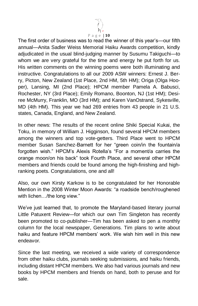

The first order of business was to read the winner of this year's—our fifth annual—Anita Sadler Weiss Memorial Haiku Awards competition, kindly adjudicated in the usual blind-judging manner by Susumu Takiguchi—to whom we are very grateful for the time and energy he put forth for us. His written comments on the winning poems were both illuminating and instructive. Congratulations to all our 2009 ASW winners: Ernest J. Berry, Picton, New Zealand (1st Place, 2nd HM, 5th HM); Origa (Olga Hooper), Lansing, MI (2nd Place); HPCM member Pamela A. Babusci, Rochester, NY (3rd Place); Emily Romano, Boonton, NJ (1st HM); Desiree McMurry, Franklin, MO (3rd HM); and Karen VanOstrand, Sykesville, MD (4th HM). This year we had 269 entries from 43 people in 21 U.S. states, Canada, England, and New Zealand.

In other news: The results of the recent online Shiki Special Kukai, the Toku, in memory of William J. Higginson, found several HPCM members among the winners and top vote-getters. Third Place went to HPCM member Susan Sanchez-Barnett for her "green coin/in the fountain/a forgotten wish." HPCM's Alexis Rotella's "For a moment/a carries the orange moon/on his back‖ took Fourth Place, and several other HPCM members and friends could be found among the high-finishing and highranking poets. Congratulations, one and all!

Also, our own Kirsty Karkow is to be congratulated for her Honorable Mention in the 2008 Winter Moon Awards: "a roadside bench/roughened with lichen.../the long view."

We've just learned that, to promote the Maryland-based literary journal Little Patuxent Review—for which our own Tim Singleton has recently been promoted to co-publisher—Tim has been asked to pen a monthly column for the local newspaper, Generations. Tim plans to write about haiku and feature HPCM members' work. We wish him well in this new endeavor.

Since the last meeting, we received a wide variety of correspondence from other haiku clubs, journals seeking submissions, and haiku friends, including distant HPCM members. We also had various journals and new books by HPCM members and friends on hand, both to peruse and for sale.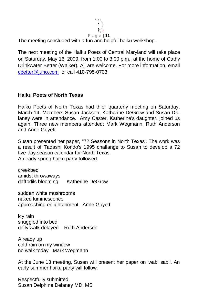

The meeting concluded with a fun and helpful haiku workshop.

The next meeting of the Haiku Poets of Central Maryland will take place on Saturday, May 16, 2009, from 1:00 to 3:00 p.m., at the home of Cathy Drinkwater Better (Walker). All are welcome. For more information, email [cbetter@juno.com](mailto:cbetter@juno.com) or call 410-795-0703.

#### **Haiku Poets of North Texas**

Haiku Poets of North Texas had thier quarterly meeting on Saturday, March 14. Members Susan Jackson, Katherine DeGrow and Susan Delaney were in attendance. Amy Caster, Katherine's daughter, joined us again. Three new members attended: Mark Wegmann, Ruth Anderson and Anne Guyett.

Susan presented her paper, "72 Seasons in North Texas'. The work was a result of Tadashi Kondo's 1995 challange to Susan to develop a 72 five-day season calendar for North Texas. An early spring haiku party followed:

creekbed amidst throwaways daffodils blooming Katherine DeGrow

sudden white mushrooms naked luminescence approaching enlightenment Anne Guyett

icy rain snuggled into bed daily walk delayed Ruth Anderson

Already up cold rain on my window no walk today Mark Wegmann

At the June 13 meeting, Susan will present her paper on 'wabi sabi'. An early summer haiku party will follow.

Respectfully submitted, Susan Delphine Delaney MD, MS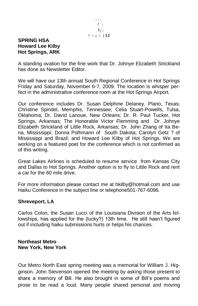

#### **SPRING HSA Howard Lee Kilby Hot Springs, ARK**

A standing ovation for the fine work that Dr. Johnye Elizabeth Strickland has done as Newsletter Editor.

We will have our 13th annual South Regional Conference in Hot Springs Friday and Saturday, November 6-7, 2009. The location is whisper perfect in the administrative conference room at the Hot Springs Airport.

Our conference includes Dr. Susan Delphine Delaney, Plano, Texas; Christine Spindel, Memphis, Tennessee; Celia Stuart-Powells, Tulsa, Oklahoma; Dr. David Lanoue, New Orleans; Dr. R. Paul Tucker, Hot Springs, Arkansas; The Honorable Victor Flemming and Dr. Johnye Elizabeth Strickland of Little Rock, Arkansas; Dr. John Zhang of Ita Bena, Mississippi; Donna Polhmann of South Dakota; Carolyn Getz ? of Mississippi and Brazil; and Howard Lee Kilby of Hot Springs. We are working on a featured poet for the conference which is not confirmed as of this writing.

Great Lakes Airlines is scheduled to resume service from Kansas City and Dallas to Hot Springs. Another option is to fly to Little Rock and rent a car for the 60 mile drive.

For more information please contact me at hkilby@hotmail.com and use Haiku Conference in the subject line or telephone501-767-6096.

#### **Shreveport, LA**

Carlos Colon, the Susan Lucci of the Louisiana Division of the Arts fellowships, has applied for the (lucky?) 13th time. He still hasn't figured out if including haiku submissions hurts or helps his chances.

#### **Northeast Metro New York, New York**

Our Metro North East spring meeting was a memorial for William J. Higginson. John Stevenson opened the meeting by asking those present to share a memory of Bill. He also brought in some of Bill's poems and prose to be read a loud. Many people shared personal and moving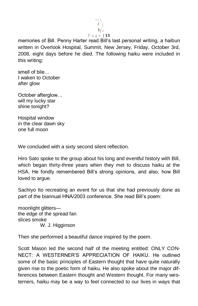

memories of Bill. Penny Harter read Bill's last personal writing, a haibun written in Overlook Hospital, Summit, New Jersey, Friday, October 3rd, 2008, eight days before he died. The following haiku were included in this writing:

smell of bile… I waken to October after glow

October afterglow… will my lucky star shine tonight?

Hospital window in the clear dawn sky one full moon

We concluded with a sixty second silent reflection.

Hiro Sato spoke to the group about his long and eventful history with Bill, which began thirty-three years when they met to discuss haiku at the HSA. He fondly remembered Bill's strong opinions, and also, how Bill loved to argue.

Sachiyo Ito recreating an event for us that she had previously done as part of the biannual HNA/2003 conference. She read Bill's poem:

moonlight glitters the edge of the spread fan slices smoke W. J. Higginson

Then she performed a beautiful dance inspired by the poem.

Scott Mason led the second half of the meeting entitled: ONLY CON-NECT: A WESTERNER'S APPRECIATION OF HAIKU. He outlined some of the basic principles of Eastern thought that have quite naturally given rise to the poetic form of haiku. He also spoke about the major differences between Eastern thought and Western thought. For many westerners, haiku may be a way to feel connected to our lives in ways that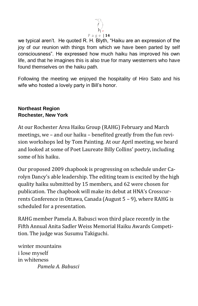

we typical aren't. He quoted R. H. Blyth, "Haiku are an expression of the joy of our reunion with things from which we have been parted by self consciousness‖. He expressed how much haiku has improved his own life, and that he imagines this is also true for many westerners who have found themselves on the haiku path.

Following the meeting we enjoyed the hospitality of Hiro Sato and his wife who hosted a lovely party in Bill's honor.

#### **Northeast Region Rochester, New York**

At our Rochester Area Haiku Group (RAHG) February and March meetings, we – and our haiku – benefited greatly from the fun revision workshops led by Tom Painting. At our April meeting, we heard and looked at some of Poet Laureate Billy Collins' poetry, including some of his haiku.

Our proposed 2009 chapbook is progressing on schedule under Carolyn Dancy's able leadership. The editing team is excited by the high quality haiku submitted by 15 members, and 62 were chosen for publication. The chapbook will make its debut at HNA's Crosscurrents Conference in Ottawa, Canada (August 5 – 9), where RAHG is scheduled for a presentation.

RAHG member Pamela A. Babusci won third place recently in the Fifth Annual Anita Sadler Weiss Memorial Haiku Awards Competition. The judge was Susumu Takiguchi.

winter mountains i lose myself in whiteness  *Pamela A. Babusci*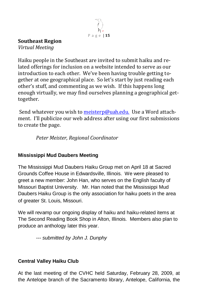

#### **Southeast Region**

*Virtual Meeting* 

Haiku people in the Southeast are invited to submit haiku and related offerings for inclusion on a website intended to serve as our introduction to each other. We've been having trouble getting together at one geographical place. So let's start by just reading each other's stuff, and commenting as we wish. If this happens long enough virtually, we may find ourselves planning a geographical gettogether.

Send whatever you wish t[o meisterp@uah.edu.](mailto:meisterp@uah.edu.) Use a Word attachment. I'll publicize our web address after using our first submissions to create the page.

*Peter Meister, Regional Coordinator*

## **Mississippi Mud Daubers Meeting**

The Mississippi Mud Daubers Haiku Group met on April 18 at Sacred Grounds Coffee House in Edwardsville, Illinois. We were pleased to greet a new member: John Han, who serves on the English faculty of Missouri Baptist University. Mr. Han noted that the Mississippi Mud Daubers Haiku Group is the only association for haiku poets in the area of greater St. Louis, Missouri.

We will revamp our ongoing display of haiku and haiku-related items at The Second Reading Book Shop in Alton, Illinois. Members also plan to produce an anthology later this year.

*--- submitted by John J. Dunphy*

## **Central Valley Haiku Club**

At the last meeting of the CVHC held Saturday, February 28, 2009, at the Antelope branch of the Sacramento library, Antelope, California, the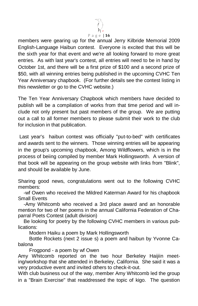

members were gearing up for the annual Jerry Kilbride Memorial 2009 English-Language Haibun contest. Everyone is excited that this will be the sixth year for that event and we're all looking forward to more great entries. As with last year's contest, all entries will need to be in hand by October 1st, and there will be a first prize of \$100 and a second prize of \$50, with all winning entries being published in the upcoming CVHC Ten Year Anniversary chapbook. (For further details see the contest listing in this newsletter or go to the CVHC website.)

The Ten Year Anniversary Chapbook which members have decided to publish will be a compilation of works from that time period and will include not only present but past members of the group. We are putting out a call to all former members to please submit their work to the club for inclusion in that publication.

Last year's haibun contest was officially "put-to-bed" with certificates and awards sent to the winners. Those winning entries will be appearing in the group's upcoming chapbook, Among Wildflowers, which is in the process of beiing compiled by member Mark Hollingsworth. A version of that book will be appearing on the group website with links from "Blink", and should be available by June.

Sharing good news, congratulations went out to the following CVHC members:

 -wf Owen who received the Mildred Katerman Award for his chapbook Small Events

 -Amy Whitcomb who received a 3rd place award and an honorable mention for two of her poems in the annual California Federation of Chaparral Poets Contest (adult division)

 Be looking for poetry by the following CVHC members in various publications:

Modern Haiku a poem by Mark Hollingsworth

 Bottle Rockets (next 2 issue s) a poem and haibun by Yvonne Cabalona

Frogpond - a poem by wf Owen

Amy Whitcomb reported on the two hour Berkeley Haijiin meeting/workshop that she attended in Berkeley, California. She said it was a very productive event and invited others to check-it-out.

With club business out of the way, member Amy Whitcomb led the group in a "Brain Exercise" that readdressed the topic of kigo. The question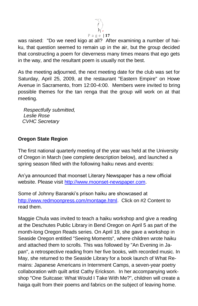

was raised: "Do we need kigo at all? After examining a number of haiku, that question seemed to remain up in the air, but the group decided that constructing a poem for cleverness many times means that ego gets in the way, and the resultant poem is usually not the best.

As the meeting adjourned, the next meeting date for the club was set for Saturday, April 25, 2009, at the restaurant "Eastern Empire" on Howe Avenue in Sacramento, from 12:00-4:00. Members were invited to bring possible themes for the tan renga that the group will work on at that meeting.

 *Respectfully submitted, Leslie Rose CVHC Secretary*

#### **Oregon State Region**

The first national quarterly meeting of the year was held at the University of Oregon in March (see complete description below), and launched a spring season filled with the following haiku news and events:

An'ya announced that moonset Literary Newspaper has a new official website. Please visit [http://www.moonset-newspaper.com.](http://www.moonset-newspaper.com/)

Some of Johnny Baranski's prison haiku are showcased at [http://www.redmoonpress.com/montage.html.](http://www.redmoonpress.com/montage.html) Click on #2 Content to read them.

Maggie Chula was invited to teach a haiku workshop and give a reading at the Deschutes Public Library in Bend Oregon on April 5 as part of the month-long Oregon Reads series. On April 19, she gave a workshop in Seaside Oregon entitled "Seeing Moments", where children wrote haiku and attached them to scrolls. This was followed by "An Evening in Japan", a retrospective reading from her five books, with recorded music. In May, she returned to the Seaside Library for a book launch of What Remains: Japanese Americans in Internment Camps, a seven-year poetry collaboration with quilt artist Cathy Erickson. In her accompanying workshop "One Suitcase: What Would I Take With Me?", children will create a haiga quilt from their poems and fabrics on the subject of leaving home.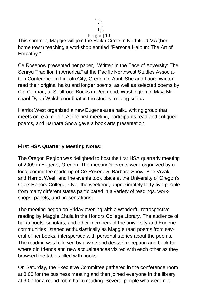

This summer, Maggie will join the Haiku Circle in Northfield MA (her home town) teaching a workshop entitled "Persona Haibun: The Art of Empathy."

Ce Rosenow presented her paper, "Written in the Face of Adversity: The Senryu Tradition in America," at the Pacific Northwest Studies Association Conference in Lincoln City, Oregon in April. She and Laura Winter read their original haiku and longer poems, as well as selected poems by Cid Corman, at SoulFood Books in Redmond, Washington in May. Michael Dylan Welch coordinates the store's reading series.

Harriot West organized a new Eugene-area haiku writing group that meets once a month. At the first meeting, participants read and critiqued poems, and Barbara Snow gave a book arts presentation.

#### **First HSA Quarterly Meeting Notes:**

The Oregon Region was delighted to host the first HSA quarterly meeting of 2009 in Eugene, Oregon. The meeting's events were organized by a local committee made up of Ce Rosenow, Barbara Snow, Bee Vrzak, and Harriot West, and the events took place at the University of Oregon's Clark Honors College. Over the weekend, approximately forty-five people from many different states participated in a variety of readings, workshops, panels, and presentations.

The meeting began on Friday evening with a wonderful retrospective reading by Maggie Chula in the Honors College Library. The audience of haiku poets, scholars, and other members of the university and Eugene communities listened enthusiastically as Maggie read poems from several of her books, interspersed with personal stories about the poems. The reading was followed by a wine and dessert reception and book fair where old friends and new acquaintances visited with each other as they browsed the tables filled with books.

On Saturday, the Executive Committee gathered in the conference room at 8:00 for the business meeting and then joined everyone in the library at 9:00 for a round robin haiku reading. Several people who were not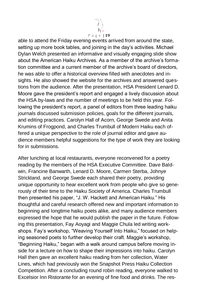

able to attend the Friday evening events arrived from around the state, setting up more book tables, and joining in the day's activities. Michael Dylan Welch presented an informative and visually engaging slide show about the American Haiku Archives. As a member of the archive's formation committee and a current member of the archive's board of directors, he was able to offer a historical overview filled with anecdotes and insights. He also showed the website for the archives and answered questions from the audience. After the presentation, HSA President Lenard D. Moore gave the president's report and engaged a lively discussion about the HSA by-laws and the number of meetings to be held this year. Following the president's report, a panel of editors from three leading haiku journals discussed submission policies, goals for the different journals, and editing practices. Carolyn Hall of Acorn, George Swede and Anita Krumins of Frogpond, and Charles Trumbull of Modern Haiku each offered a unique perspective to the role of journal editor and gave audience members helpful suggestions for the type of work they are looking for in submissions.

After lunching at local restaurants, everyone reconvened for a poetry reading by the members of the HSA Executive Committee. Dave Baldwin, Francine Banwarth, Lenard D. Moore, Carmen Sterba, Johnye Strickland, and George Swede each shared their poetry, providing unique opportunity to hear excellent work from people who give so generously of their time to the Haiku Society of America. Charles Trumbull then presented his paper, "J. W. Hackett and American Haiku." His thoughtful and careful research offered new and important information to beginning and longtime haiku poets alike, and many audience members expressed the hope that he would publish the paper in the future. Following this presentation, Fay Aoyagi and Maggie Chula led writing workshops. Fay's workshop, "Weaving Yourself Into Haiku," focused on helping seasoned poets to further develop their craft. Maggie's workshop, "Beginning Haiku," began with a walk around campus before moving inside for a lecture on how to shape their impressions into haiku. Carolyn Hall then gave an excellent haiku reading from her collection, Water Lines, which had previously won the Snapshot Press Haiku Collection Competition. After a concluding round robin reading, everyone walked to Excelsior Inn Ristorante for an evening of fine food and drinks. The res-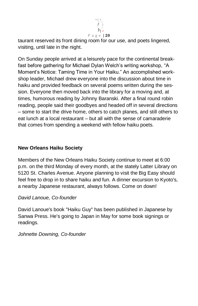

taurant reserved its front dining room for our use, and poets lingered, visiting, until late in the night.

On Sunday people arrived at a leisurely pace for the continental breakfast before gathering for Michael Dylan Welch's writing workshop, "A Moment's Notice: Taming Time in Your Haiku." An accomplished workshop leader, Michael drew everyone into the discussion about time in haiku and provided feedback on several poems written during the session. Everyone then moved back into the library for a moving and, at times, humorous reading by Johnny Baranski. After a final round robin reading, people said their goodbyes and headed off in several directions – some to start the drive home, others to catch planes, and still others to eat lunch at a local restaurant – but all with the sense of camaraderie that comes from spending a weekend with fellow haiku poets.

#### **New Orleans Haiku Society**

Members of the New Orleans Haiku Society continue to meet at 6:00 p.m. on the third Monday of every month, at the stately Latter Library on 5120 St. Charles Avenue. Anyone planning to visit the Big Easy should feel free to drop in to share haiku and fun. A dinner excursion to Kyoto's, a nearby Japanese restaurant, always follows. Come on down!

#### *David Lanoue, Co-founder*

David Lanoue's book "Haiku Guy" has been published in Japanese by Sanwa Press. He's going to Japan in May for some book signings or readings.

#### *Johnette Downing, Co-founder*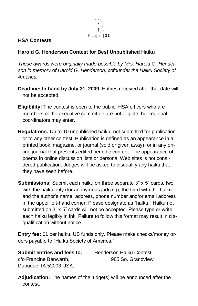

#### **HSA Contests**

#### **Harold G. Henderson Contest for Best Unpublished Haiku**

*These awards were originally made possible by Mrs. Harold G. Henderson in memory of Harold G. Henderson, cofounder the Haiku Society of America.*

- **Deadline: In hand by July 31, 2009.** Entries received after that date will not be accepted.
- **Eligibility:** The contest is open to the public. HSA officers who are members of the executive committee are not eligible, but regional coordinators may enter.
- **Regulations:** Up to 10 unpublished haiku, not submitted for publication or to any other contest. Publication is defined as an appearance in a printed book, magazine, or journal (sold or given away), or in any online journal that presents edited periodic content. The appearance of poems in online discussion lists or personal Web sites is not considered publication. Judges will be asked to disqualify any haiku that they have seen before.
- **Submissions:** Submit each haiku on three separate 3˝ x 5˝ cards, two with the haiku only (for anonymous judging), the third with the haiku and the author's name, address, phone number and/or email address in the upper left-hand corner. Please designate as "haiku." Haiku not submitted on 3" x 5" cards will not be accepted. Please type or write each haiku legibly in ink. Failure to follow this format may result in disqualification without notice.

**Entry fee:** \$1 per haiku, US funds only. Please make checks/money orders payable to "Haiku Society of America."

**Submit entries and fees to:** Henderson Haiku Contest, c/o Francine Banwarth, 985 So. Grandview Dubuque, IA 52003 USA.

**Adjudication:** The names of the judge(s) will be announced after the contest.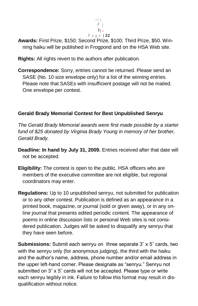

**Awards:** First Prize, \$150; Second Prize, \$100; Third Prize, \$50. Winning haiku will be published in Frogpond and on the HSA Web site.

**Rights:** All rights revert to the authors after publication.

**Correspondence:** Sorry, entries cannot be returned. Please send an SASE (No. 10 size envelope only) for a list of the winning entries. Please note that SASEs with insufficient postage will not be mailed. One envelope per contest.

## **Gerald Brady Memorial Contest for Best Unpublished Senryu**

*The Gerald Brady Memorial awards were first made possible by a starter fund of \$25 donated by Virginia Brady Young in memory of her brother, Gerald Brady.*

- **Deadline: In hand by July 31, 2009.** Entries received after that date will not be accepted.
- **Eligibility:** The contest is open to the public. HSA officers who are members of the executive committee are not eligible, but regional coordinators may enter.
- **Regulations:** Up to 10 unpublished senryu, not submitted for publication or to any other contest. Publication is defined as an appearance in a printed book, magazine, or journal (sold or given away), or in any online journal that presents edited periodic content. The appearance of poems in online discussion lists or personal Web sites is not considered publication. Judges will be asked to disqualify any senryu that they have seen before.

**Submissions:** Submit each senryu on three separate 3˝ x 5˝ cards, two with the senryu only (for anonymous judging), the third with the haiku and the author's name, address, phone number and/or email address in the upper left-hand corner. Please designate as "senryu." Senryu not submitted on 3˝ x 5˝ cards will not be accepted. Please type or write each senryu legibly in ink. Failure to follow this format may result in disqualification without notice.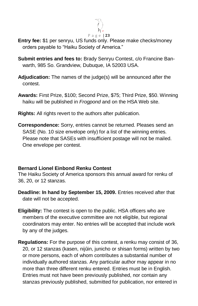

- **Entry fee:** \$1 per senryu, US funds only. Please make checks/money orders payable to "Haiku Society of America."
- **Submit entries and fees to:** Brady Senryu Contest, c/o Francine Banwarth, 985 So. Grandview, Dubuque, IA 52003 USA.
- **Adjudication:** The names of the judge(s) will be announced after the contest.
- **Awards:** First Prize, \$100; Second Prize, \$75; Third Prize, \$50. Winning haiku will be published in *Frogpond* and on the HSA Web site.
- **Rights:** All rights revert to the authors after publication.
- **Correspondence:** Sorry, entries cannot be returned. Pleases send an SASE (No. 10 size envelope only) for a list of the winning entries. Please note that SASEs with insufficient postage will not be mailed. One envelope per contest.

#### **Bernard Lionel Einbond Renku Contest**

The Haiku Society of America sponsors this annual award for renku of 36, 20, or 12 stanzas.

- **Deadline: In hand by September 15, 2009.** Entries received after that date will not be accepted.
- **Eligibility:** The contest is open to the public. HSA officers who are members of the executive committee are not eligible, but regional coordinators may enter. No entries will be accepted that include work by any of the judges.
- **Regulations:** For the purpose of this contest, a renku may consist of 36, 20, or 12 stanzas (kasen, nijûin, junicho or shisan forms) written by two or more persons, each of whom contributes a substantial number of individually authored stanzas. Any particular author may appear in no more than three different renku entered. Entries must be in English. Entries must not have been previously published, nor contain any stanzas previously published, submitted for publication, nor entered in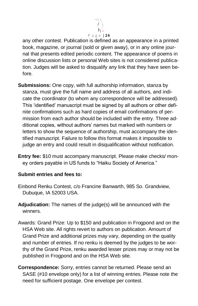

any other contest. Publication is defined as an appearance in a printed book, magazine, or journal (sold or given away), or in any online journal that presents edited periodic content. The appearance of poems in online discussion lists or personal Web sites is not considered publication. Judges will be asked to disqualify any link that they have seen before.

- **Submissions:** One copy, with full authorship information, stanza by stanza, must give the full name and address of all authors, and indicate the coordinator (to whom any correspondence will be addressed). This 'identified' manuscript must be signed by all authors or other definite confirmations such as hard copies of email confirmations of permission from each author should be included with the entry. Three additional copies, without authors' names but marked with numbers or letters to show the sequence of authorship, must accompany the identified manuscript. Failure to follow this format makes it impossible to judge an entry and could result in disqualification without notification.
- **Entry fee:** \$10 must accompany manuscript. Please make checks/ money orders payable in US funds to "Haiku Society of America."

#### **Submit entries and fees to:**

- Einbond Renku Contest, c/o Francine Banwarth, 985 So. Grandview, Dubuque, IA 52003 USA.
- **Adjudication:** The names of the judge(s) will be announced with the winners.
- Awards: Grand Prize: Up to \$150 and publication in Frogpond and on the HSA Web site. All rights revert to authors on publication. Amount of Grand Prize and additional prizes may vary, depending on the quality and number of entries. If no renku is deemed by the judges to be worthy of the Grand Prize, renku awarded lesser prizes may or may not be published in Frogpond and on the HSA Web site.
- **Correspondence:** Sorry, entries cannot be returned. Please send an SASE (#10 envelope only) for a list of winning entries. Please note the need for sufficient postage. One envelope per contest.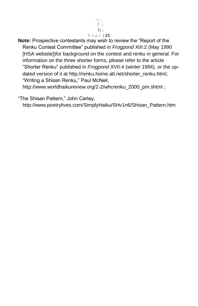

**Note:** Prospective contestants may wish to review the "Report of the Renku Contest Committee‖ published in *Frogpond* XIII:2 (May 1990 [HSA website])for background on the contest and renku in general. For information on the three shorter forms, please refer to the article ―Shorter Renku‖ published in *Frogpond* XVII:4 (winter 1994), or the updated version of it at [http://renku.home.att.net/shorter\\_renku.html;](http://renku.home.att.net/shorter_renku.html) "Writing a Shisan Renku," Paul McNeil,

[http://www.worldhaikureview.org/2-2/whcrenku\\_2000\\_pm.shtml](http://www.worldhaikureview.org/2-2/whcrenku_2000_pm.shtml) ;

―The Shisan Pattern,‖ John Carley,

[http://www.poetrylives.com/SimplyHaiku/SHv1n6/Shisan\\_Pattern.htm](http://www.poetrylives.com/SimplyHaiku/SHv1n6/Shisan_Pattern.htm)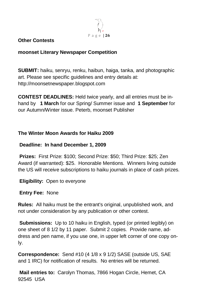

#### **Other Contests**

#### **moonset Literary Newspaper Competition**

**SUBMIT:** haiku, senryu, renku, haibun, haiga, tanka, and photographic art. Please see specific guidelines and entry details at: [http://moonsetnewspaper.blogspot.com](http://moonsetnewspaper.blogspot.com/)

**CONTEST DEADLINES:** Held twice yearly, and all entries must be inhand by **1 March** for our Spring/ Summer issue and **1 September** for our Autumn/Winter issue. Peterb, moonset Publisher

#### **The Winter Moon Awards for Haiku 2009**

#### **Deadline: In hand December 1, 2009**

**Prizes:** First Prize: \$100; Second Prize: \$50; Third Prize: \$25; Zen Award (if warranted): \$25. Honorable Mentions. Winners living outside the US will receive subscriptions to haiku journals in place of cash prizes.

**Eligibility:** Open to everyone

**Entry Fee:** None

**Rules:** All haiku must be the entrant's original, unpublished work, and not under consideration by any publication or other contest.

**Submissions:** Up to 10 haiku in English, typed (or printed legibly) on one sheet of 8 1/2 by 11 paper. Submit 2 copies. Provide name, address and pen name, if you use one, in upper left corner of one copy only.

**Correspondence:** Send #10 (4 1/8 x 9 1/2) SASE (outside US, SAE and 1 IRC) for notification of results. No entries will be returned.

**Mail entries to:** Carolyn Thomas, 7866 Hogan Circle, Hemet, CA 92545 USA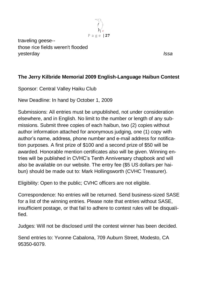

traveling geese- those rice fields weren't flooded yesterday *Issa*

## **The Jerry Kilbride Memorial 2009 English-Language Haibun Contest**

Sponsor: Central Valley Haiku Club

New Deadline: In hand by October 1, 2009

Submissions: All entries must be unpublished, not under consideration elsewhere, and in English. No limit to the number or length of any submissions. Submit three copies of each haibun, two (2) copies without author information attached for anonymous judging, one (1) copy with author's name, address, phone number and e-mail address for notification purposes. A first prize of \$100 and a second prize of \$50 will be awarded. Honorable mention certificates also will be given. Winning entries will be published in CVHC's Tenth Anniversary chapbook and will also be available on our website. The entry fee (\$5 US dollars per haibun) should be made out to: Mark Hollingsworth (CVHC Treasurer).

Eligibility: Open to the public; CVHC officers are not eligible.

Correspondence: No entries will be returned. Send business-sized SASE for a list of the winning entries. Please note that entries without SASE, insufficient postage, or that fail to adhere to contest rules will be disqualified.

Judges: Will not be disclosed until the contest winner has been decided.

Send entries to: Yvonne Cabalona, 709 Auburn Street, Modesto, CA 95350-6079.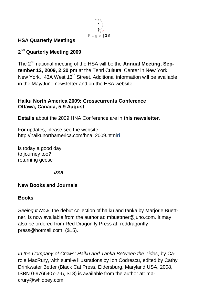

#### **HSA Quarterly Meetings**

## **2 nd Quarterly Meeting 2009**

The 2nd national meeting of the HSA will be the **Annual Meeting, September 12, 2009, 2:30 pm** at the Tenri Cultural Center in New York, New York, 43A West 13<sup>th</sup> Street. Additional information will be available in the May/June newsletter and on the HSA website.

#### **Haiku North America 2009: Crosscurrents Conference Ottawa, Canada, 5-9 August**

**Details** about the 2009 HNA Conference are in **this newsletter**.

For updates, please see the website: [http://haikunorthamerica.com/hna\\_2009.html](http://haikunorthamerica.com/hna_2009.html)**ri**

is today a good day to journey too? returning geese

*Issa*

#### **New Books and Journals**

#### **Books**

*Seeing It Now*, the debut collection of haiku and tanka by Marjorie Buettner, is now available from the author at: [mbuettner@juno.com.](mailto:mbuettner@juno.com) It may also be ordered from Red Dragonfly Press at: [reddragonfly](mailto:reddragonflypress@hotmail.com)[press@hotmail.com](mailto:reddragonflypress@hotmail.com) (\$15).

*In the Company of Crows: Haiku and Tanka Between the Tides*, by Carole MacRury, with sumi-e illustrations by Ion Codrescu, edited by Cathy Drinkwater Better (Black Cat Press, Eldersburg, Maryland USA, 2008, ISBN 0-9766407-7-5, \$18) is available from the author at: [ma](mailto:macrury@whidbey.com)[crury@whidbey.com](mailto:macrury@whidbey.com) .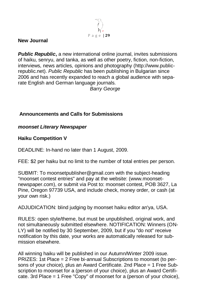

#### **New Journal**

**Public Republic,** a new international online journal, invites submissions of haiku, senryu, and tanka, as well as other poetry, fiction, non-fiction, interviews, news articles, opinions and photography [\(http://www.public](http://www.public-republic.net/)[republic.net\)](http://www.public-republic.net/). *Public Republic* has been publishing in Bulgarian since 2006 and has recently expanded to reach a global audience with separate English and German language journals.

*Barry George*

#### **Announcements and Calls for Submissions**

#### *moonset Literary Newspaper*

#### **Haiku Competition V**

DEADLINE: In-hand no later than 1 August, 2009.

FEE: \$2 per haiku but no limit to the number of total entries per person.

SUBMIT: To moonsetpublisher@gmail.com with the subject-heading "moonset contest entries" and pay at the website: (www.moonsetnewspaper.com), or submit via Post to: moonset contest, POB 3627, La Pine, Oregon 97739 USA, and include check, money order, or cash (at your own risk.)

ADJUDICATION: blind judging by moonset haiku editor an'ya, USA.

RULES: open style/theme, but must be unpublished, original work, and not simultaneously submitted elsewhere. NOTIFICATION: Winners (ON-LY) will be notified by 30 September, 2009, but if you "do not" receive notification by this date, your works are automatically released for submission elsewhere.

All winning haiku will be published in our Autumn/Winter 2009 issue. PRIZES: 1st Place = 2 Free bi-annual Subscriptions to moonset (to persons of your choice), plus an Award Certificate. 2nd Place = 1 Free Subscription to moonset for a (person of your choice), plus an Award Certificate. 3rd Place = 1 Free "Copy" of moonset for a (person of your choice),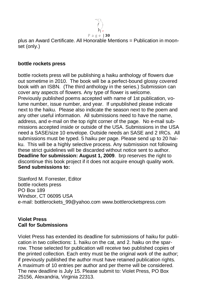

plus an Award Certificate. All Honorable Mentions = Publication in moonset (only.)

#### **bottle rockets press**

bottle rockets press will be publishing a haiku anthology of flowers due out sometime in 2010. The book will be a perfect-bound glossy covered book with an ISBN. (The third anthology in the series.) Submission can cover any aspects of flowers. Any type of flower is welcome. Previously published poems accepted with name of 1st publication, volume number, issue number, and year. If unpublished please indicate next to the haiku. Please also indicate the season next to the poem and any other useful information. All submissions need to have the name, address, and e-mail on the top right corner of the page. No e-mail submissions accepted inside or outside of the USA. Submissions in the USA need a SASE/size 10 envelope. Outside needs an SASE and 2 IRCs. All submissions must be typed. 5 haiku per page. Please send up to 20 haiku. This will be a highly selective process. Any submission not following these strict guidelines will be discarded without notice sent to author. **Deadline for submission: August 1, 2009**. brp reserves the right to discontinue this book project if it does not acquire enough quality work. **Send submissions to:**

Stanford M. Forrester, Editor bottle rockets press PO Box 189 Windsor, CT 06095 USA e-mail: [bottlerockets\\_99@yahoo.com](mailto:bottlerockets_99@yahoo.com) www.bottlerocketspress.com

#### **Violet Press Call for Submissions**

Violet Press has extended its deadline for submissions of haiku for publication in two collections: 1. haiku on the cat, and 2. haiku on the sparrow. Those selected for publication will receive two published copies of the printed collection. Each entry must be the original work of the author; if previously published the author must have retained publication rights. A maximum of 10 entries per author and per theme will be considered. The new deadline is July 15. Please submit to: Violet Press, PO Box 25156, Alexandria, Virginia 22313.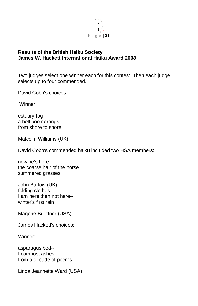

#### **Results of the British Haiku Society James W. Hackett International Haiku Award 2008**

Two judges select one winner each for this contest. Then each judge selects up to four commended.

David Cobb's choices:

Winner:

estuary fog- a bell boomerangs from shore to shore

Malcolm Williams (UK)

David Cobb's commended haiku included two HSA members:

now he's here the coarse hair of the horse... summered grasses

John Barlow (UK) folding clothes I am here then not here- winter's first rain

Marjorie Buettner (USA)

James Hackett's choices:

Winner:

asparagus bed-- I compost ashes from a decade of poems

Linda Jeannette Ward (USA)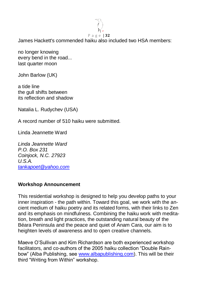

James Hackett's commended haiku also included two HSA members:

no longer knowing every bend in the road... last quarter moon

John Barlow (UK)

a tide line the gull shifts between its reflection and shadow

Natalia L. Rudychev (USA)

A record number of 510 haiku were submitted.

Linda Jeannette Ward

*Linda Jeannette Ward P.O. Box 231 Coinjock, N.C. 27923 U.S.A. [tankapoet@yahoo.com](mailto:tankapoet@yahoo.com)*

#### **Workshop Announcement**

This residential workshop is designed to help you develop paths to your inner inspiration - the path within. Toward this goal, we work with the ancient medium of haiku poetry and its related forms, with their links to Zen and its emphasis on mindfulness. Combining the haiku work with meditation, breath and light practices, the outstanding natural beauty of the Béara Peninsula and the peace and quiet of Anam Cara, our aim is to heighten levels of awareness and to open creative channels.

Maeve O'Sullivan and Kim Richardson are both experienced workshop facilitators, and co-authors of the 2005 haiku collection "Double Rainbow" (Alba Publishing, see [www.albapublishing.com\)](http://www.albapublishing.com/). This will be their third "Writing from Within" workshop.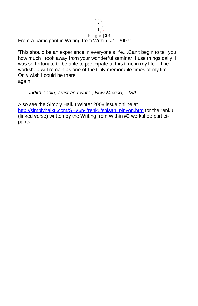

'This should be an experience in everyone's life....Can't begin to tell you how much I took away from your wonderful seminar. I use things daily. I was so fortunate to be able to participate at this time in my life... The workshop will remain as one of the truly memorable times of my life... Only wish I could be there again.'

#### *Judith Tobin, artist and writer, New Mexico, USA*

Also see the Simply Haiku Winter 2008 issue online at [http://simplyhaiku.com/SHv6n4/renku/shisan\\_pinyon.htm](http://simplyhaiku.com/SHv6n4/renku/shisan_pinyon.htm) for the renku (linked verse) written by the Writing from Within #2 workshop participants.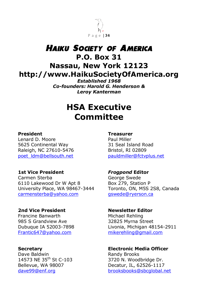

# *Haiku Society of America* **P.O. Box 31 Nassau, New York 12123 http://www.HaikuSocietyOfAmerica.org**

*Established 1968 Co-founders: Harold G. Henderson & Leroy Kanterman*

# **HSA Executive Committee**

#### **President Treasurer**

Lenard D. Moore **Paul Miller** 5625 Continental Way 31 Seal Island Road Raleigh, NC 27610-5476 Bristol, RI 02809

#### **1st Vice President** *Frogpond* **Editor**

Carmen Sterba George Swede 6110 Lakewood Dr W Apt 8 Box 279, Station P University Place, WA 98467-3444 Toronto, ON, M5S 2S8, Canada [carmensterba@yahoo.com](mailto:carmensterba@yahoo.com) [gswede@ryerson.ca](mailto:gswede@ryerson.ca)

## **2nd Vice President Newsletter Editor** Francine Banwarth Michael Rehling 985 S Grandview Ave 32825 Myrna Street [Frantic647@yahoo.com](mailto:Frantic647@yahoo.com) [mikerehling@gmail.com](mailto:mikerehling@gmail.com)

Dave Baldwin **Randy Brooks** 

[poet\\_ldm@bellsouth.net](mailto:poet_ldm@bellsouth.net) [pauldmiller@fctvplus.net](mailto:pauldmiller@fctvplus.net)

Dubuque IA 52003-7898 Livonia, Michigan 48154-2911

**Secretary Electronic Media Officer** 14573 NE 35<sup>th</sup> St C-103 3720 N. Woodbridge Dr. Bellevue, WA 98007 Decatur, IL, 62526-1117 [dave99@enf.org](mailto:dave99@enf.org) [brooksbooks@sbcglobal.net](mailto:brooksbooks@sbcglobal.net)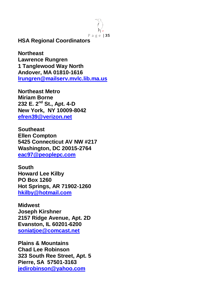P a g e | **35**

**HSA Regional Coordinators**

**Northeast Lawrence Rungren 1 Tanglewood Way North Andover, MA 01810-1616 [lrungren@mailserv.mvlc.lib.ma.us](mailto:lrungren@mailserv.mvlc.lib.ma.us)**

**Northeast Metro Miriam Borne 232 E. 2nd St., Apt. 4-D New York, NY 10009-8042 [efren39@verizon.net](mailto:efren39@verizon.net)**

**Southeast Ellen Compton 5425 Connecticut AV NW #217 Washington, DC 20015-2764 [eac97@peoplepc.com](mailto:eac97@peoplepc.com)**

**South Howard Lee Kilby PO Box 1260 Hot Springs, AR 71902-1260 [hkilby@hotmail.com](mailto:hkilby@hotmail.com)**

**Midwest Joseph Kirshner 2157 Ridge Avenue, Apt. 2D Evanston, IL 60201-6200 [soniatjoe@comcast.net](mailto:soniatjoe@comcast.net)**

**Plains & Mountains Chad Lee Robinson 323 South Ree Street, Apt. 5 Pierre, SA 57501-3163 [jedirobinson@yahoo.com](mailto:jedirobinson@yahoo.com)**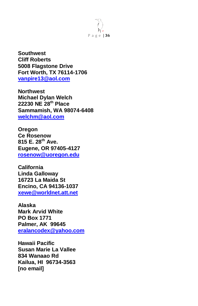

**Southwest Cliff Roberts 5008 Flagstone Drive Fort Worth, TX 76114-1706 [vanpire13@aol.com](mailto:vanpire13@aol.com)**

**Northwest Michael Dylan Welch 22230 NE 28th Place Sammamish, WA 98074-6408 [welchm@aol.com](mailto:welchm@aol.com)**

**Oregon Ce Rosenow 815 E. 28th Ave. Eugene, OR 97405-4127 [rosenow@uoregon.edu](mailto:rosenow@uoregon.edu)**

**California Linda Galloway 16723 La Maida St Encino, CA 94136-1037 [xewe@worldnet.att.net](mailto:xewe@worldnet.att.net)**

**Alaska Mark Arvid White PO Box 1771 Palmer, AK 99645 [eralancodex@yahoo.com](mailto:eralancodex@yahoo.com)**

**Hawaii Pacific Susan Marie La Vallee 834 Wanaao Rd Kailua, HI 96734-3563 [no email]**